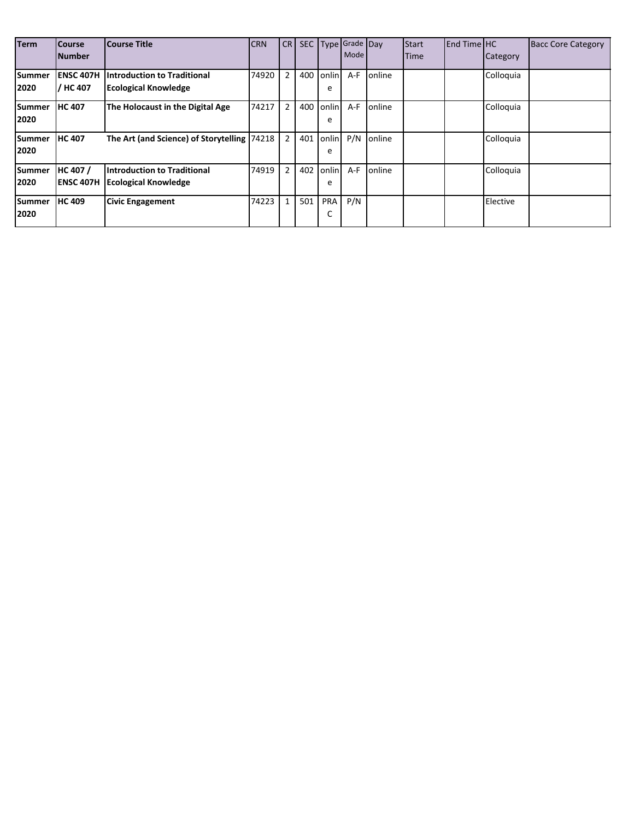| <b>Term</b>           | <b>Course</b><br><b>Number</b> | <b>Course Title</b>                                               | <b>CRN</b> | <b>CR</b>      | SEC |            | Type Grade Day<br>Mode |                 | Start<br>Time | End Time HC | Category  | <b>Bacc Core Category</b> |
|-----------------------|--------------------------------|-------------------------------------------------------------------|------------|----------------|-----|------------|------------------------|-----------------|---------------|-------------|-----------|---------------------------|
| <b>Summer</b><br>2020 | <b>ENSC 407H</b><br>/ HC 407   | <b>Introduction to Traditional</b><br><b>Ecological Knowledge</b> | 74920      | $\overline{2}$ | 400 | onlin<br>e | A-F                    | online          |               |             | Colloquia |                           |
| <b>Summer</b><br>2020 | <b>HC 407</b>                  | The Holocaust in the Digital Age                                  | 74217      | 2              | 400 | onlin<br>e | $A-F$                  | online          |               |             | Colloquia |                           |
| <b>Summer</b><br>2020 | <b>HC 407</b>                  | The Art (and Science) of Storytelling 74218                       |            | $\overline{2}$ | 401 | onlin<br>e | P/N                    | <b>l</b> online |               |             | Colloquia |                           |
| <b>Summer</b><br>2020 | HC 407 /<br><b>ENSC 407H</b>   | Introduction to Traditional<br><b>Ecological Knowledge</b>        | 74919      | $\overline{2}$ | 402 | onlin<br>e | $A-F$                  | online          |               |             | Colloquia |                           |
| <b>Summer</b><br>2020 | <b>HC 409</b>                  | <b>Civic Engagement</b>                                           | 74223      | $\mathbf{1}$   | 501 | PRA<br>Ć   | P/N                    |                 |               |             | Elective  |                           |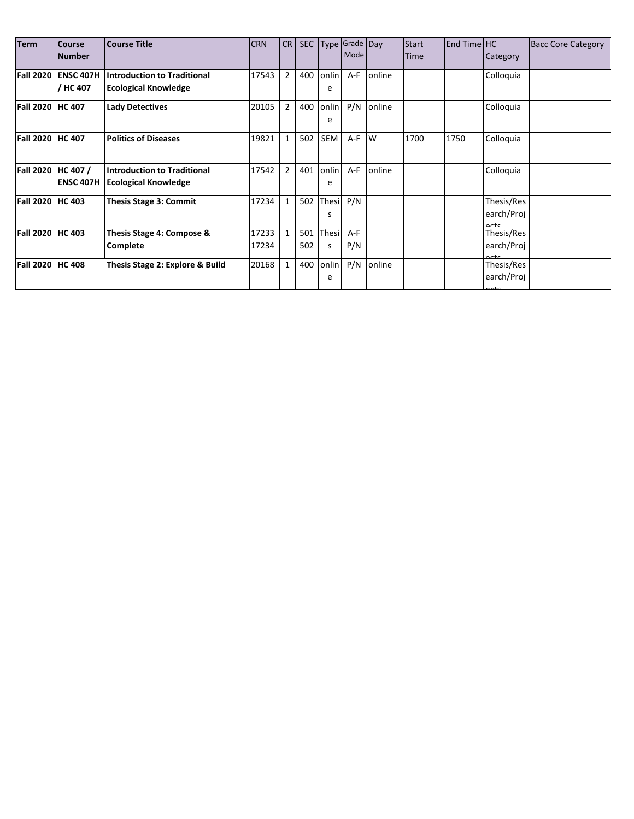| <b>Term</b>             | <b>Course</b><br><b>Number</b> | <b>Course Title</b>                                               | <b>CRN</b>     | CR             | SEC        |                   | Type Grade Day<br>Mode |        | <b>Start</b><br><b>Time</b> | <b>End Time HC</b> | Category                         | <b>Bacc Core Category</b> |
|-------------------------|--------------------------------|-------------------------------------------------------------------|----------------|----------------|------------|-------------------|------------------------|--------|-----------------------------|--------------------|----------------------------------|---------------------------|
| <b>Fall 2020</b>        | <b>ENSC 407H</b><br>HC 407     | <b>Introduction to Traditional</b><br><b>Ecological Knowledge</b> | 17543          | $\overline{2}$ | 400        | onlin<br>e        | A-F                    | online |                             |                    | Colloquia                        |                           |
| <b>Fall 2020 HC 407</b> |                                | <b>Lady Detectives</b>                                            | 20105          | $\overline{2}$ | 400        | onlin<br>e        | P/N                    | online |                             |                    | Colloquia                        |                           |
| <b>Fall 2020</b>        | <b>HC 407</b>                  | <b>Politics of Diseases</b>                                       | 19821          | $\mathbf{1}$   | 502        | <b>SEM</b>        | A-F                    | 1w     | 1700                        | 1750               | Colloquia                        |                           |
| <b>Fall 2020</b>        | HC 407 /<br><b>ENSC 407H</b>   | <b>Introduction to Traditional</b><br><b>Ecological Knowledge</b> | 17542          | $\overline{2}$ | 401        | onlin<br>e        | $A-F$                  | online |                             |                    | Colloquia                        |                           |
| Fall 2020               | <b>HC 403</b>                  | <b>Thesis Stage 3: Commit</b>                                     | 17234          | $\mathbf{1}$   | 502        | <b>Thesi</b><br>S | P/N                    |        |                             |                    | Thesis/Res<br>earch/Proj         |                           |
| <b>Fall 2020</b>        | <b>HC 403</b>                  | Thesis Stage 4: Compose &<br>Complete                             | 17233<br>17234 | $\mathbf{1}$   | 501<br>502 | Thesi<br>S        | $A-F$<br>P/N           |        |                             |                    | Thesis/Res<br>earch/Proj<br>nete |                           |
| <b>Fall 2020</b>        | <b>HC 408</b>                  | Thesis Stage 2: Explore & Build                                   | 20168          | $\mathbf{1}$   | 400        | onlin<br>e        | P/N                    | online |                             |                    | Thesis/Res<br>earch/Proj         |                           |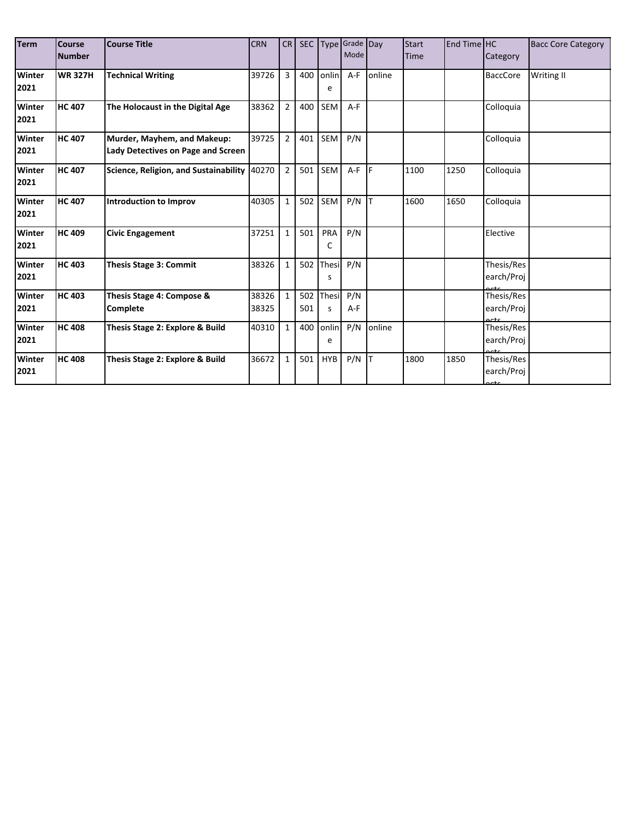| <b>Term</b>           | <b>Course</b><br><b>Number</b> | <b>Course Title</b>                                               | <b>CRN</b>     | CR             | SEC        |            | Type Grade Day<br>Mode |        | <b>Start</b><br><b>Time</b> | End Time HC | Category                        | <b>Bacc Core Category</b> |
|-----------------------|--------------------------------|-------------------------------------------------------------------|----------------|----------------|------------|------------|------------------------|--------|-----------------------------|-------------|---------------------------------|---------------------------|
| Winter<br>2021        | <b>WR 327H</b>                 | <b>Technical Writing</b>                                          | 39726          | 3              | 400        | onlin<br>e | $A-F$                  | online |                             |             | <b>BaccCore</b>                 | Writing II                |
| Winter<br>2021        | <b>HC 407</b>                  | The Holocaust in the Digital Age                                  | 38362          | $\overline{2}$ | 400        | SEM        | $A-F$                  |        |                             |             | Colloquia                       |                           |
| Winter<br>2021        | <b>HC 407</b>                  | Murder, Mayhem, and Makeup:<br>Lady Detectives on Page and Screen | 39725          | $\overline{2}$ | 401        | SEM        | P/N                    |        |                             |             | Colloquia                       |                           |
| <b>Winter</b><br>2021 | <b>HC 407</b>                  | Science, Religion, and Sustainability                             | 40270          | $\overline{2}$ | 501        | SEM        | $A-F$ $F$              |        | 1100                        | 1250        | Colloquia                       |                           |
| Winter<br>2021        | <b>HC 407</b>                  | <b>Introduction to Improv</b>                                     | 40305          | $\mathbf{1}$   | 502        | SEM        | P/N                    |        | 1600                        | 1650        | Colloquia                       |                           |
| Winter<br>2021        | <b>HC 409</b>                  | <b>Civic Engagement</b>                                           | 37251          | $\mathbf{1}$   | 501        | PRA<br>C   | P/N                    |        |                             |             | Elective                        |                           |
| Winter<br>2021        | <b>HC 403</b>                  | <b>Thesis Stage 3: Commit</b>                                     | 38326          | $\mathbf{1}$   | 502        | Thesi<br>s | P/N                    |        |                             |             | Thesis/Res<br>earch/Proj        |                           |
| Winter<br>2021        | <b>HC 403</b>                  | Thesis Stage 4: Compose &<br><b>Complete</b>                      | 38326<br>38325 | $\mathbf{1}$   | 502<br>501 | Thesi<br>s | P/N<br>$A-F$           |        |                             |             | Thesis/Res<br>earch/Proj        |                           |
| Winter<br>2021        | <b>HC 408</b>                  | Thesis Stage 2: Explore & Build                                   | 40310          | $\mathbf{1}$   | 400        | onlin<br>e | P/N                    | online |                             |             | Thesis/Res<br>earch/Proj        |                           |
| Winter<br>2021        | <b>HC 408</b>                  | Thesis Stage 2: Explore & Build                                   | 36672          | $\mathbf{1}$   | 501        | <b>HYB</b> | $P/N$ T                |        | 1800                        | 1850        | Thesis/Res<br>earch/Proj<br>ctc |                           |